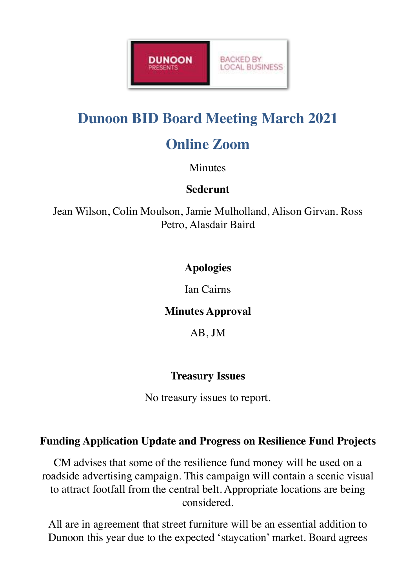

# **Dunoon BID Board Meeting March 2021**

# **Online Zoom**

#### **Minutes**

# **Sederunt**

Jean Wilson, Colin Moulson, Jamie Mulholland, Alison Girvan. Ross Petro, Alasdair Baird

# **Apologies**

Ian Cairns

#### **Minutes Approval**

AB, JM

# **Treasury Issues**

No treasury issues to report.

# **Funding Application Update and Progress on Resilience Fund Projects**

CM advises that some of the resilience fund money will be used on a roadside advertising campaign. This campaign will contain a scenic visual to attract footfall from the central belt. Appropriate locations are being considered.

All are in agreement that street furniture will be an essential addition to Dunoon this year due to the expected 'staycation' market. Board agrees